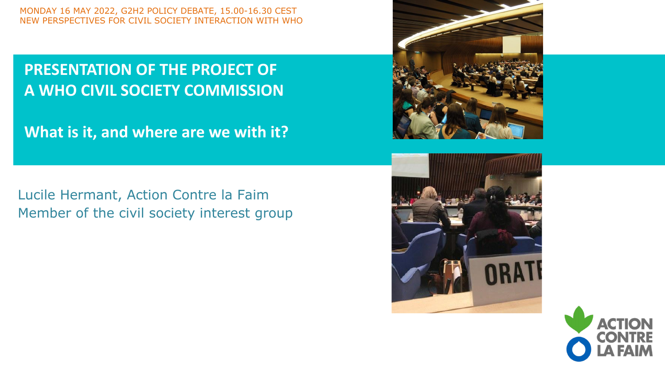#### **PRESENTATION OF THE PROJECT OF A WHO CIVIL SOCIETY COMMISSION**

**What is it, and where are we with it?**

Lucile Hermant, Action Contre la Faim Member of the civil society interest group





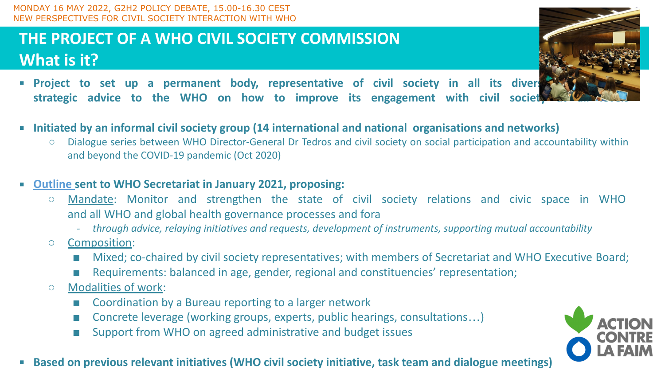## **THE PROJECT OF A WHO CIVIL SOCIETY COMMISSION What is it?**



- **Project to set up a permanent body, representative of civil society in all its divers** strategic advice to the WHO on how to improve its engagement with civil society
- **Initiated by an informal civil society group (14 international and national organisations and networks)**
	- Dialogue series between WHO Director-General Dr Tedros and civil society on social participation and accountability within and beyond the COVID-19 pandemic (Oct 2020)
- **[Outline](https://g2h2.org/wp-content/uploads/2020/10/Outline-WHO-Civil-Society-Commission-11-January-2021.pdf) sent to WHO Secretariat in January 2021, proposing:**
	- Mandate: Monitor and strengthen the state of civil society relations and civic space in WHO and all WHO and global health governance processes and fora
		- *- through advice, relaying initiatives and requests, development of instruments, supporting mutual accountability*
	- Composition:
		- Mixed; co-chaired by civil society representatives; with members of Secretariat and WHO Executive Board;
		- Requirements: balanced in age, gender, regional and constituencies' representation;
	- Modalities of work:
		- Coordination by a Bureau reporting to a larger network
		- Concrete leverage (working groups, experts, public hearings, consultations...)
		- Support from WHO on agreed administrative and budget issues



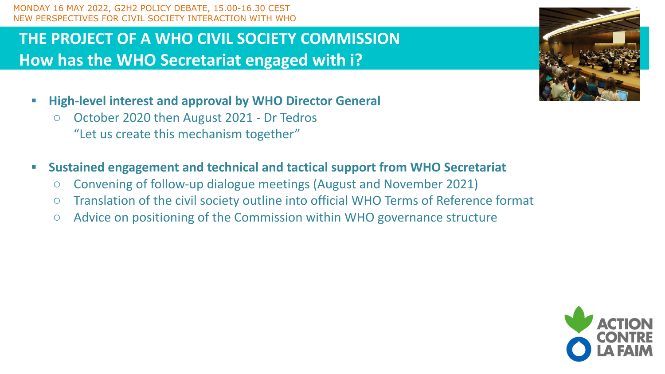### **THE PROJECT OF A WHO CIVIL SOCIETY COMMISSION How has the WHO Secretariat engaged with i?**

- **▪ High-level interest and approval by WHO Director General**
	- October 2020 then August 2021 Dr Tedros "Let us create this mechanism together"
- **▪ Sustained engagement and technical and tactical support from WHO Secretariat** 
	- Convening of follow-up dialogue meetings (August and November 2021)
	- Translation of the civil society outline into official WHO Terms of Reference format
	- Advice on positioning of the Commission within WHO governance structure



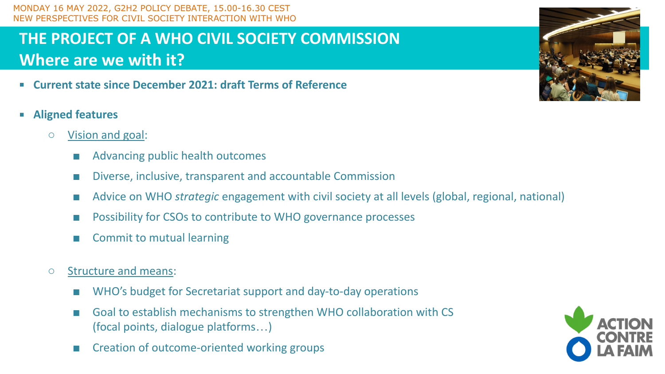## **THE PROJECT OF A WHO CIVIL SOCIETY COMMISSION Where are we with it?**

- **Current state since December 2021: draft Terms of Reference**
- **Aligned features**
	- **○** Vision and goal:
		- Advancing public health outcomes
		- Diverse, inclusive, transparent and accountable Commission
		- Advice on WHO *strategic* engagement with civil society at all levels (global, regional, national)
		- Possibility for CSOs to contribute to WHO governance processes
		- Commit to mutual learning
	- Structure and means:
		- WHO's budget for Secretariat support and day-to-day operations
		- Goal to establish mechanisms to strengthen WHO collaboration with CS (focal points, dialogue platforms…)
		- Creation of outcome-oriented working groups



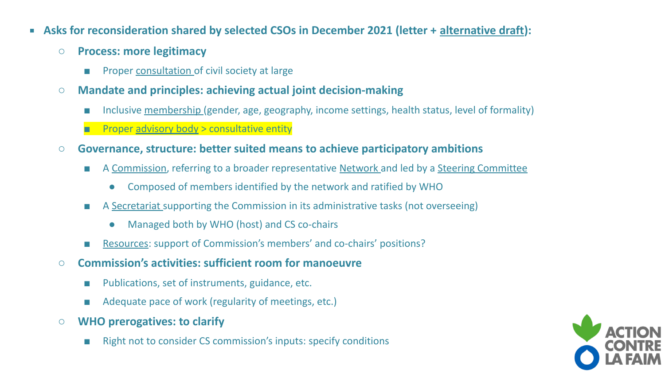- **EXECTE Asks for reconsideration shared by selected CSOs in December 2021 (letter + [alternative draft\)](https://docs.google.com/document/d/1Ym2oKAIbdTADPpvC6Ycl0T71CmQnpF2b/edit):** 
	- **○ Process: more legitimacy** 
		- Proper consultation of civil society at large
	- **○ Mandate and principles: achieving actual joint decision-making**
		- Inclusive membership (gender, age, geography, income settings, health status, level of formality)
		- **Proper advisory body > consultative entity**
	- **○ Governance, structure: better suited means to achieve participatory ambitions**
		- A Commission, referring to a broader representative Network and led by a Steering Committee
			- Composed of members identified by the network and ratified by WHO
		- A Secretariat supporting the Commission in its administrative tasks (not overseeing)
			- Managed both by WHO (host) and CS co-chairs
		- Resources: support of Commission's members' and co-chairs' positions?
	- **Commission's activities: sufficient room for manoeuvre** 
		- Publications, set of instruments, guidance, etc.
		- Adequate pace of work (regularity of meetings, etc.)
	- **WHO prerogatives: to clarify**
		- Right not to consider CS commission's inputs: specify conditions